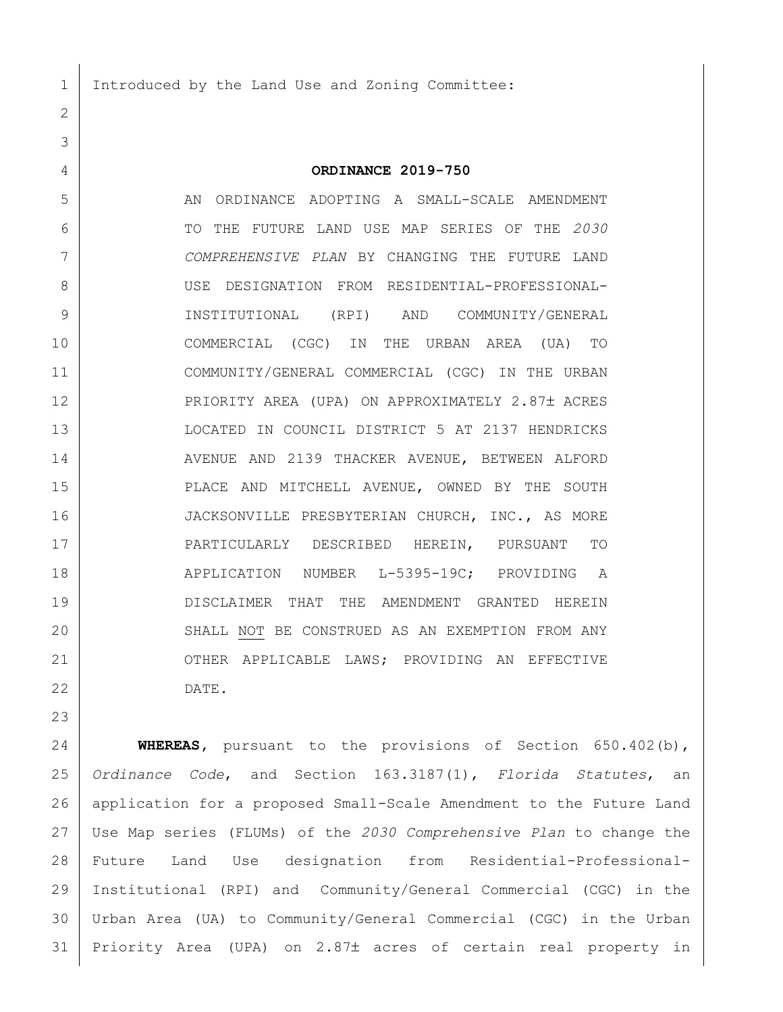Introduced by the Land Use and Zoning Committee:

## **ORDINANCE 2019-750**

 AN ORDINANCE ADOPTING A SMALL-SCALE AMENDMENT TO THE FUTURE LAND USE MAP SERIES OF THE *2030 COMPREHENSIVE PLAN* BY CHANGING THE FUTURE LAND USE DESIGNATION FROM RESIDENTIAL-PROFESSIONAL- INSTITUTIONAL (RPI) AND COMMUNITY/GENERAL COMMERCIAL (CGC) IN THE URBAN AREA (UA) TO COMMUNITY/GENERAL COMMERCIAL (CGC) IN THE URBAN 12 | PRIORITY AREA (UPA) ON APPROXIMATELY 2.87± ACRES LOCATED IN COUNCIL DISTRICT 5 AT 2137 HENDRICKS 14 AVENUE AND 2139 THACKER AVENUE, BETWEEN ALFORD PLACE AND MITCHELL AVENUE, OWNED BY THE SOUTH 16 JACKSONVILLE PRESBYTERIAN CHURCH, INC., AS MORE PARTICULARLY DESCRIBED HEREIN, PURSUANT TO 18 | APPLICATION NUMBER L-5395-19C; PROVIDING A DISCLAIMER THAT THE AMENDMENT GRANTED HEREIN 20 SHALL NOT BE CONSTRUED AS AN EXEMPTION FROM ANY 21 OTHER APPLICABLE LAWS; PROVIDING AN EFFECTIVE DATE.

 **WHEREAS,** pursuant to the provisions of Section 650.402(b), *Ordinance Code*, and Section 163.3187(1), *Florida Statutes*, an application for a proposed Small-Scale Amendment to the Future Land Use Map series (FLUMs) of the *2030 Comprehensive Plan* to change the Future Land Use designation from Residential-Professional- Institutional (RPI) and Community/General Commercial (CGC) in the Urban Area (UA) to Community/General Commercial (CGC) in the Urban 31 | Priority Area (UPA) on 2.87± acres of certain real property in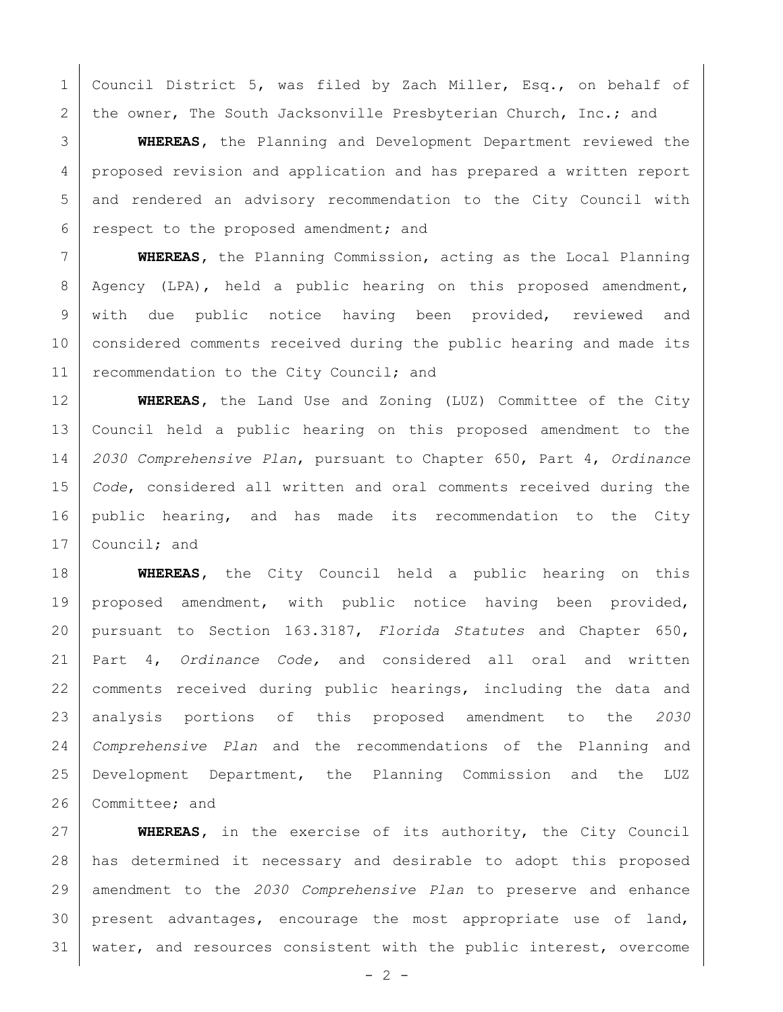1 | Council District 5, was filed by Zach Miller, Esq., on behalf of 2 the owner, The South Jacksonville Presbyterian Church, Inc.; and

 **WHEREAS,** the Planning and Development Department reviewed the 4 proposed revision and application and has prepared a written report and rendered an advisory recommendation to the City Council with respect to the proposed amendment; and

 **WHEREAS,** the Planning Commission, acting as the Local Planning Agency (LPA), held a public hearing on this proposed amendment, with due public notice having been provided, reviewed and considered comments received during the public hearing and made its 11 recommendation to the City Council; and

 **WHEREAS,** the Land Use and Zoning (LUZ) Committee of the City Council held a public hearing on this proposed amendment to the *2030 Comprehensive Plan*, pursuant to Chapter 650, Part 4, *Ordinance Code*, considered all written and oral comments received during the public hearing, and has made its recommendation to the City 17 Council; and

 **WHEREAS,** the City Council held a public hearing on this proposed amendment, with public notice having been provided, pursuant to Section 163.3187, *Florida Statutes* and Chapter 650, Part 4, *Ordinance Code,* and considered all oral and written 22 | comments received during public hearings, including the data and analysis portions of this proposed amendment to the *2030 Comprehensive Plan* and the recommendations of the Planning and Development Department, the Planning Commission and the LUZ 26 Committee; and

 **WHEREAS,** in the exercise of its authority, the City Council has determined it necessary and desirable to adopt this proposed amendment to the *2030 Comprehensive Plan* to preserve and enhance present advantages, encourage the most appropriate use of land, water, and resources consistent with the public interest, overcome

 $- 2 -$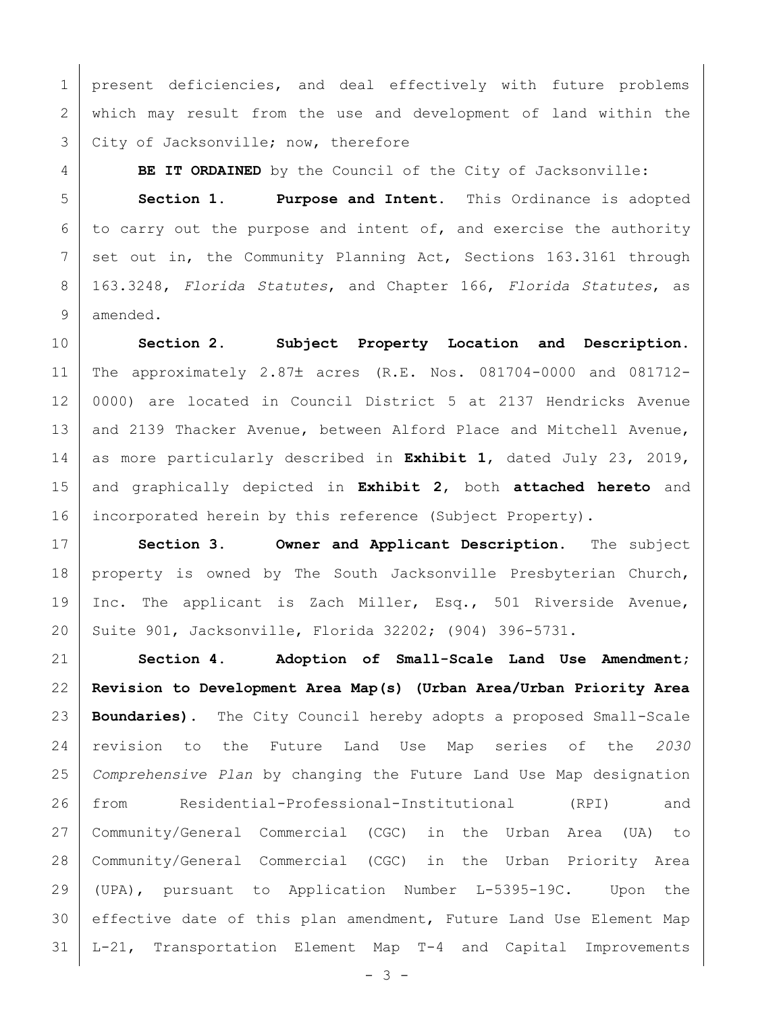1 | present deficiencies, and deal effectively with future problems which may result from the use and development of land within the 3 City of Jacksonville; now, therefore

**BE IT ORDAINED** by the Council of the City of Jacksonville:

 **Section 1. Purpose and Intent.** This Ordinance is adopted to carry out the purpose and intent of, and exercise the authority 7 set out in, the Community Planning Act, Sections 163.3161 through 163.3248, *Florida Statutes*, and Chapter 166, *Florida Statutes*, as amended.

 **Section 2. Subject Property Location and Description.** 11 | The approximately 2.87± acres (R.E. Nos. 081704-0000 and 081712- 0000) are located in Council District 5 at 2137 Hendricks Avenue 13 and 2139 Thacker Avenue, between Alford Place and Mitchell Avenue, as more particularly described in **Exhibit 1**, dated July 23, 2019, and graphically depicted in **Exhibit 2**, both **attached hereto** and incorporated herein by this reference (Subject Property).

 **Section 3. Owner and Applicant Description.** The subject 18 | property is owned by The South Jacksonville Presbyterian Church, Inc. The applicant is Zach Miller, Esq., 501 Riverside Avenue, Suite 901, Jacksonville, Florida 32202; (904) 396-5731.

 **Section 4. Adoption of Small-Scale Land Use Amendment; Revision to Development Area Map(s) (Urban Area/Urban Priority Area Boundaries).** The City Council hereby adopts a proposed Small-Scale revision to the Future Land Use Map series of the *2030 Comprehensive Plan* by changing the Future Land Use Map designation from Residential-Professional-Institutional (RPI) and Community/General Commercial (CGC) in the Urban Area (UA) to Community/General Commercial (CGC) in the Urban Priority Area (UPA), pursuant to Application Number L-5395-19C. Upon the effective date of this plan amendment, Future Land Use Element Map L-21, Transportation Element Map T-4 and Capital Improvements

 $- 3 -$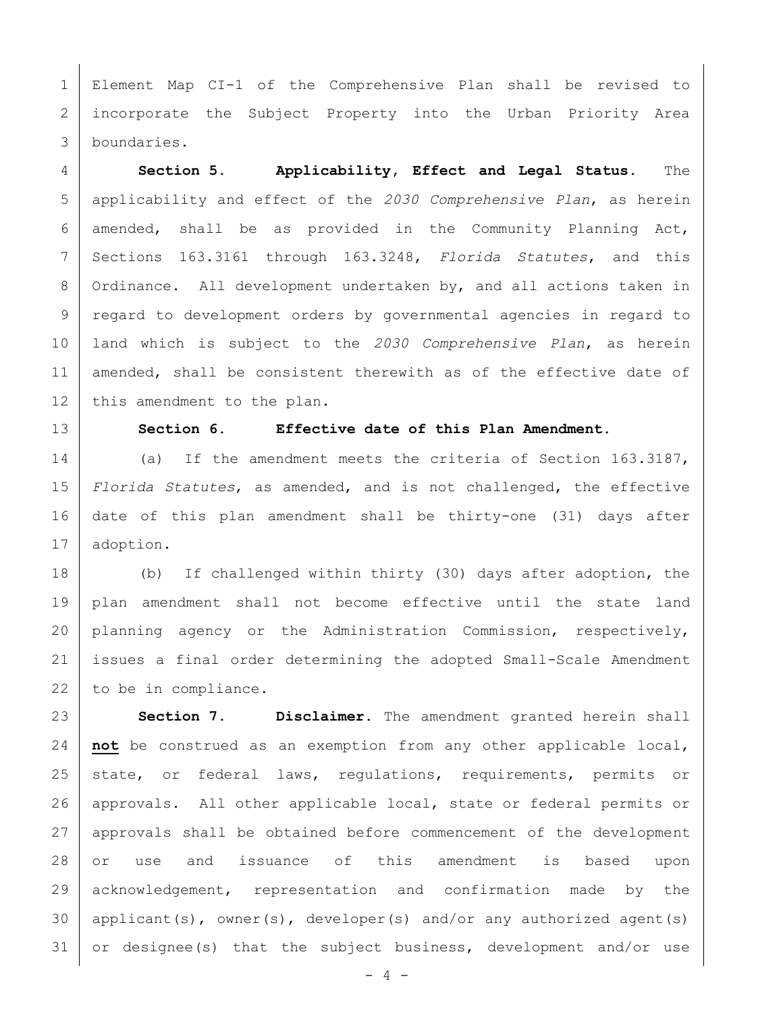Element Map CI-1 of the Comprehensive Plan shall be revised to incorporate the Subject Property into the Urban Priority Area boundaries.

 **Section 5. Applicability, Effect and Legal Status.** The applicability and effect of the *2030 Comprehensive Plan*, as herein amended, shall be as provided in the Community Planning Act, Sections 163.3161 through 163.3248, *Florida Statutes*, and this Ordinance. All development undertaken by, and all actions taken in regard to development orders by governmental agencies in regard to land which is subject to the *2030 Comprehensive Plan*, as herein 11 | amended, shall be consistent therewith as of the effective date of 12 | this amendment to the plan.

## **Section 6. Effective date of this Plan Amendment.**

14 (a) If the amendment meets the criteria of Section 163.3187, *Florida Statutes*, as amended, and is not challenged, the effective date of this plan amendment shall be thirty-one (31) days after adoption.

 (b) If challenged within thirty (30) days after adoption, the plan amendment shall not become effective until the state land planning agency or the Administration Commission, respectively, issues a final order determining the adopted Small-Scale Amendment 22 to be in compliance.

 **Section 7. Disclaimer.** The amendment granted herein shall **not** be construed as an exemption from any other applicable local, 25 state, or federal laws, requiations, requirements, permits or approvals. All other applicable local, state or federal permits or approvals shall be obtained before commencement of the development or use and issuance of this amendment is based upon acknowledgement, representation and confirmation made by the 30 | applicant(s), owner(s), developer(s) and/or any authorized agent(s) or designee(s) that the subject business, development and/or use

- 4 -